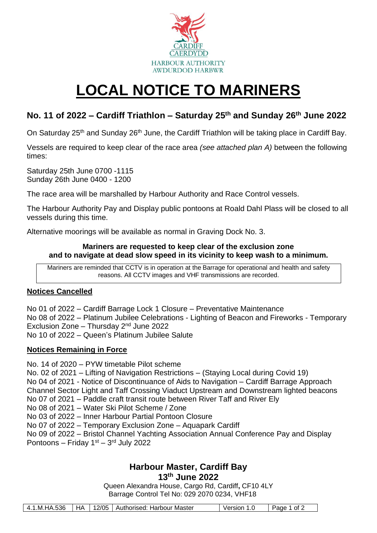

# **LOCAL NOTICE TO MARINERS**

## **No. 11 of 2022 – Cardiff Triathlon – Saturday 25 th and Sunday 26 th June 2022**

On Saturday 25<sup>th</sup> and Sunday 26<sup>th</sup> June, the Cardiff Triathlon will be taking place in Cardiff Bay.

Vessels are required to keep clear of the race area *(see attached plan A)* between the following times:

Saturday 25th June 0700 -1115 Sunday 26th June 0400 - 1200

The race area will be marshalled by Harbour Authority and Race Control vessels.

The Harbour Authority Pay and Display public pontoons at Roald Dahl Plass will be closed to all vessels during this time.

Alternative moorings will be available as normal in Graving Dock No. 3.

#### **Mariners are requested to keep clear of the exclusion zone and to navigate at dead slow speed in its vicinity to keep wash to a minimum.**

Mariners are reminded that CCTV is in operation at the Barrage for operational and health and safety reasons. All CCTV images and VHF transmissions are recorded.

### **Notices Cancelled**

No 01 of 2022 – Cardiff Barrage Lock 1 Closure – Preventative Maintenance No 08 of 2022 – Platinum Jubilee Celebrations - Lighting of Beacon and Fireworks - Temporary Exclusion Zone – Thursday 2nd June 2022 No 10 of 2022 – Queen's Platinum Jubilee Salute

#### **Notices Remaining in Force**

No. 14 of 2020 – PYW timetable Pilot scheme

No. 02 of 2021 – Lifting of Navigation Restrictions – (Staying Local during Covid 19)

No 04 of 2021 - Notice of Discontinuance of Aids to Navigation – Cardiff Barrage Approach

Channel Sector Light and Taff Crossing Viaduct Upstream and Downstream lighted beacons

No 07 of 2021 – Paddle craft transit route between River Taff and River Ely

No 08 of 2021 – Water Ski Pilot Scheme / Zone

No 03 of 2022 – Inner Harbour Partial Pontoon Closure

No 07 of 2022 – Temporary Exclusion Zone – Aquapark Cardiff

No 09 of 2022 – Bristol Channel Yachting Association Annual Conference Pay and Display Pontoons – Friday  $1<sup>st</sup>$  –  $3<sup>rd</sup>$  July 2022

#### **Harbour Master, Cardiff Bay 13th June 2022**

Queen Alexandra House, Cargo Rd, Cardiff**,** CF10 4LY Barrage Control Tel No: 029 2070 0234, VHF18